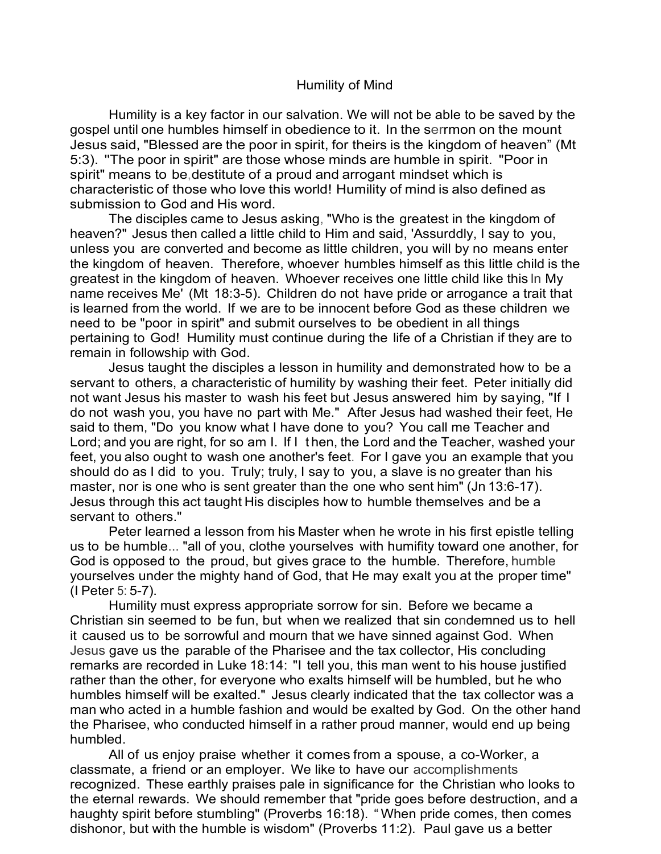## Humility of Mind

Humility is a key factor in our salvation. We will not be able to be saved by the gospel until one humbles himself in obedience to it. In the serrmon on the mount Jesus said, "Blessed are the poor in spirit, for theirs is the kingdom of heaven" (Mt 5:3). ''The poor in spirit" are those whose minds are humble in spirit. "Poor in spirit" means to be,destitute of a proud and arrogant mindset which is characteristic of those who love this world! Humility of mind is also defined as submission to God and His word.

The disciples came to Jesus asking, "Who is the greatest in the kingdom of heaven?" Jesus then called a little child to Him and said, 'Assurddly, I say to you, unless you are converted and become as little children, you will by no means enter the kingdom of heaven. Therefore, whoever humbles himself as this little child is the greatest in the kingdom of heaven. Whoever receives one little child like this ln My name receives Me' (Mt 18:3-5). Children do not have pride or arrogance a trait that is learned from the world. If we are to be innocent before God as these children we need to be "poor in spirit" and submit ourselves to be obedient in all things pertaining to God! Humility must continue during the life of a Christian if they are to remain in followship with God.

Jesus taught the disciples a lesson in humility and demonstrated how to be a servant to others, a characteristic of humility by washing their feet. Peter initially did not want Jesus his master to wash his feet but Jesus answered him by saying, "If I do not wash you, you have no part with Me." After Jesus had washed their feet, He said to them, "Do you know what I have done to you? You call me Teacher and Lord; and you are right, for so am I. If I t hen, the Lord and the Teacher, washed your feet, you also ought to wash one another's feet. For I gave you an example that you should do as I did to you. Truly; truly, I say to you, a slave is no greater than his master, nor is one who is sent greater than the one who sent him" (Jn 13:6-17). Jesus through this act taught His disciples how to humble themselves and be a servant to others."

Peter learned a lesson from his Master when he wrote in his first epistle telling us to be humble... "all of you, clothe yourselves with humifity toward one another, for God is opposed to the proud, but gives grace to the humble. Therefore, humble yourselves under the mighty hand of God, that He may exalt you at the proper time" (I Peter 5: 5-7).

Humility must express appropriate sorrow for sin. Before we became a Christian sin seemed to be fun, but when we realized that sin condemned us to hell it caused us to be sorrowful and mourn that we have sinned against God. When Jesus gave us the parable of the Pharisee and the tax collector, His concluding remarks are recorded in Luke 18:14: "I tell you, this man went to his house justified rather than the other, for everyone who exalts himself will be humbled, but he who humbles himself will be exalted." Jesus clearly indicated that the tax collector was a man who acted in a humble fashion and would be exalted by God. On the other hand the Pharisee, who conducted himself in a rather proud manner, would end up being humbled.

All of us enjoy praise whether it comes from a spouse, a co-Worker, a classmate, a friend or an employer. We like to have our accomplishments recognized. These earthly praises pale in significance for the Christian who looks to the eternal rewards. We should remember that "pride goes before destruction, and a haughty spirit before stumbling" (Proverbs 16:18). " When pride comes, then comes dishonor, but with the humble is wisdom" (Proverbs 11:2). Paul gave us a better